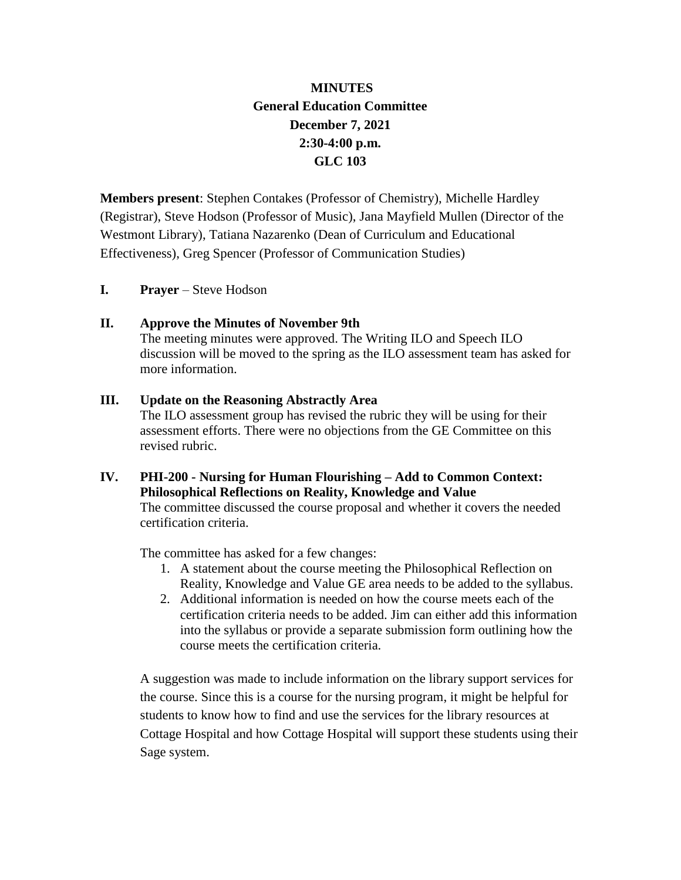# **MINUTES General Education Committee December 7, 2021 2:30-4:00 p.m. GLC 103**

**Members present**: Stephen Contakes (Professor of Chemistry), Michelle Hardley (Registrar), Steve Hodson (Professor of Music), Jana Mayfield Mullen (Director of the Westmont Library), Tatiana Nazarenko (Dean of Curriculum and Educational Effectiveness), Greg Spencer (Professor of Communication Studies)

**I. Prayer** – Steve Hodson

### **II. Approve the Minutes of November 9th**

The meeting minutes were approved. The Writing ILO and Speech ILO discussion will be moved to the spring as the ILO assessment team has asked for more information.

### **III. Update on the Reasoning Abstractly Area**

The ILO assessment group has revised the rubric they will be using for their assessment efforts. There were no objections from the GE Committee on this revised rubric.

## **IV. PHI-200 - Nursing for Human Flourishing – Add to Common Context: Philosophical Reflections on Reality, Knowledge and Value**

The committee discussed the course proposal and whether it covers the needed certification criteria.

The committee has asked for a few changes:

- 1. A statement about the course meeting the Philosophical Reflection on Reality, Knowledge and Value GE area needs to be added to the syllabus.
- 2. Additional information is needed on how the course meets each of the certification criteria needs to be added. Jim can either add this information into the syllabus or provide a separate submission form outlining how the course meets the certification criteria.

A suggestion was made to include information on the library support services for the course. Since this is a course for the nursing program, it might be helpful for students to know how to find and use the services for the library resources at Cottage Hospital and how Cottage Hospital will support these students using their Sage system.